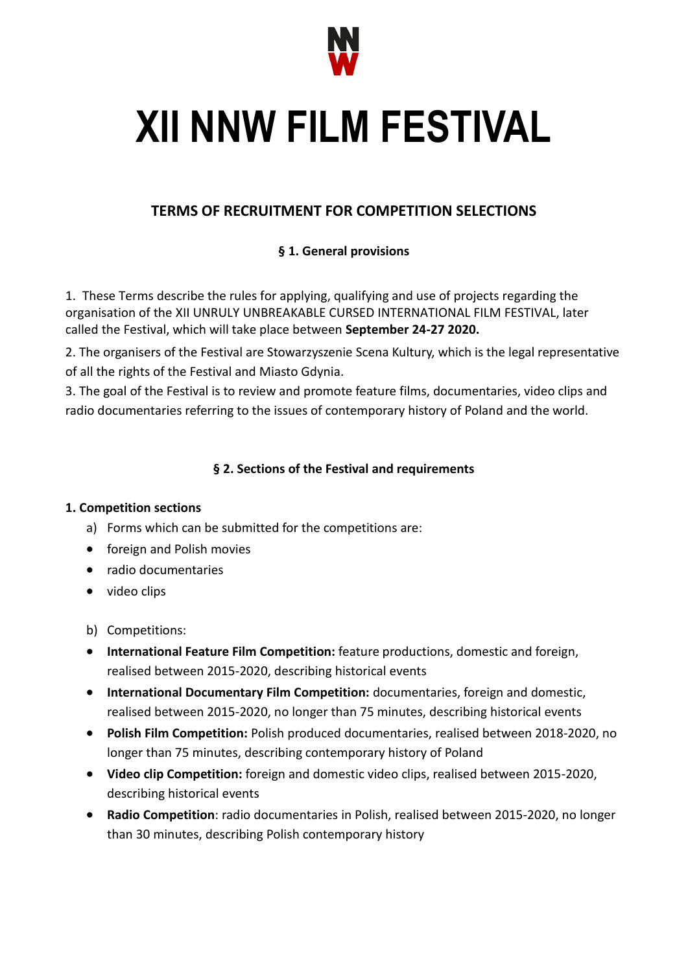

# **XII NNW FILM FESTIVAL**

# **TERMS OF RECRUITMENT FOR COMPETITION SELECTIONS**

## **§ 1. General provisions**

1. These Terms describe the rules for applying, qualifying and use of projects regarding the organisation of the XII UNRULY UNBREAKABLE CURSED INTERNATIONAL FILM FESTIVAL, later called the Festival, which will take place between **September 24-27 2020.**

2. The organisers of the Festival are Stowarzyszenie Scena Kultury, which is the legal representative of all the rights of the Festival and Miasto Gdynia.

3. The goal of the Festival is to review and promote feature films, documentaries, video clips and radio documentaries referring to the issues of contemporary history of Poland and the world.

## **§ 2. Sections of the Festival and requirements**

#### **1. Competition sections**

- a) Forms which can be submitted for the competitions are:
- foreign and Polish movies
- radio documentaries
- video clips
- b) Competitions:
- **International Feature Film Competition:** feature productions, domestic and foreign, realised between 2015-2020, describing historical events
- **International Documentary Film Competition:** documentaries, foreign and domestic, realised between 2015-2020, no longer than 75 minutes, describing historical events
- **Polish Film Competition:** Polish produced documentaries, realised between 2018-2020, no longer than 75 minutes, describing contemporary history of Poland
- **Video clip Competition:** foreign and domestic video clips, realised between 2015-2020, describing historical events
- **Radio Competition**: radio documentaries in Polish, realised between 2015-2020, no longer than 30 minutes, describing Polish contemporary history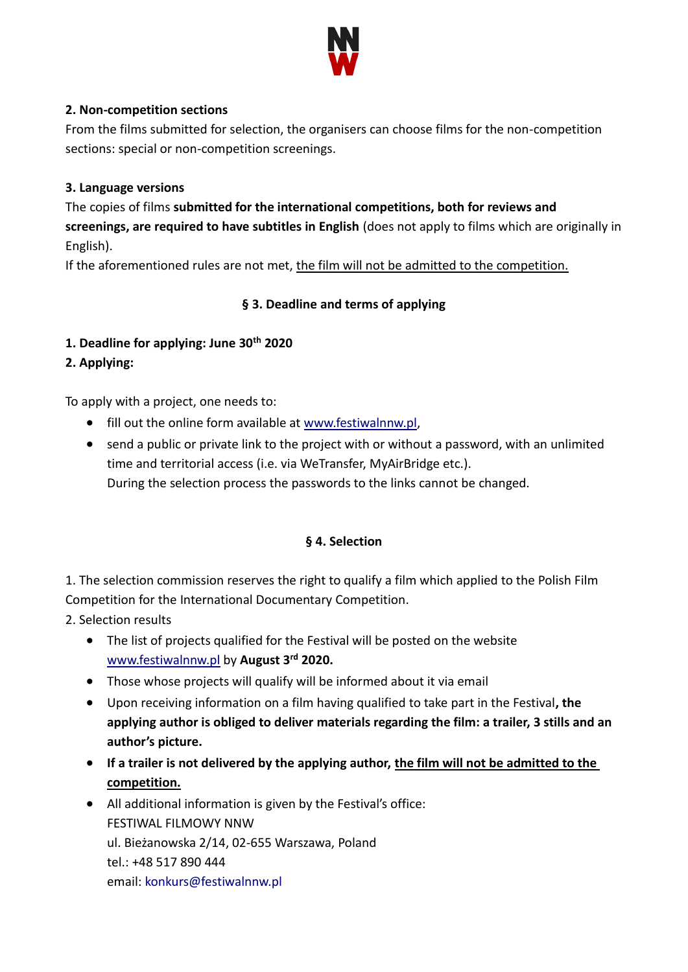

#### **2. Non-competition sections**

From the films submitted for selection, the organisers can choose films for the non-competition sections: special or non-competition screenings.

#### **3. Language versions**

The copies of films **submitted for the international competitions, both for reviews and screenings, are required to have subtitles in English** (does not apply to films which are originally in English).

If the aforementioned rules are not met, the film will not be admitted to the competition.

## **§ 3. Deadline and terms of applying**

- **1. Deadline for applying: June 30th 2020**
- **2. Applying:**

To apply with a project, one needs to:

- fill out the online form available at [www.festiwalnnw.pl,](http://www.festiwalnnw.pl/)
- send a public or private link to the project with or without a password, with an unlimited time and territorial access (i.e. via WeTransfer, MyAirBridge etc.). During the selection process the passwords to the links cannot be changed.

## **§ 4. Selection**

1. The selection commission reserves the right to qualify a film which applied to the Polish Film Competition for the International Documentary Competition.

2. Selection results

- The list of projects qualified for the Festival will be posted on the website [www.festiwalnnw.pl](http://www.festiwalnnw.pl/) by **August 3rd 2020.**
- Those whose projects will qualify will be informed about it via email
- Upon receiving information on a film having qualified to take part in the Festival**, the applying author is obliged to deliver materials regarding the film: a trailer, 3 stills and an author's picture.**
- **If a trailer is not delivered by the applying author, the film will not be admitted to the competition.**
- All additional information is given by the Festival's office: FESTIWAL FILMOWY NNW ul. Bieżanowska 2/14, 02-655 Warszawa, Poland tel.: +48 517 890 444 email: [konkurs@festiwalnnw.pl](mailto:konkurs@festiwalnnw.pl)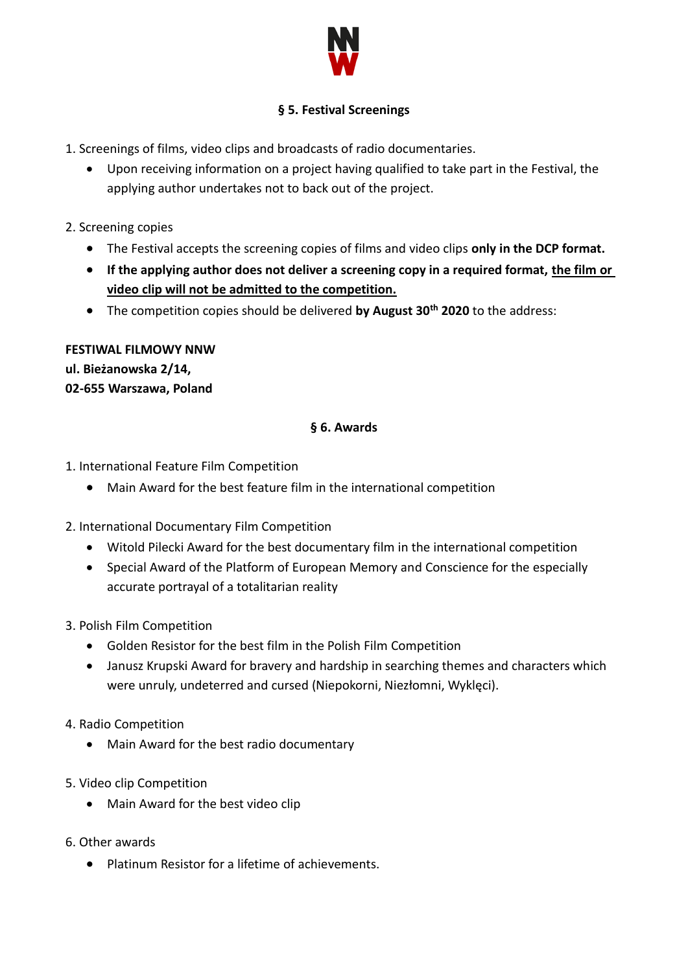

## **§ 5. Festival Screenings**

- 1. Screenings of films, video clips and broadcasts of radio documentaries.
	- Upon receiving information on a project having qualified to take part in the Festival, the applying author undertakes not to back out of the project.
- 2. Screening copies
	- The Festival accepts the screening copies of films and video clips **only in the DCP format.**
	- **If the applying author does not deliver a screening copy in a required format, the film or video clip will not be admitted to the competition.**
	- The competition copies should be delivered **by August 30th 2020** to the address:

# **FESTIWAL FILMOWY NNW ul. Bieżanowska 2/14, 02-655 Warszawa, Poland**

#### **§ 6. Awards**

- 1. International Feature Film Competition
	- Main Award for the best feature film in the international competition
- 2. International Documentary Film Competition
	- Witold Pilecki Award for the best documentary film in the international competition
	- Special Award of the Platform of European Memory and Conscience for the especially accurate portrayal of a totalitarian reality
- 3. Polish Film Competition
	- Golden Resistor for the best film in the Polish Film Competition
	- Janusz Krupski Award for bravery and hardship in searching themes and characters which were unruly, undeterred and cursed (Niepokorni, Niezłomni, Wyklęci).
- 4. Radio Competition
	- Main Award for the best radio documentary
- 5. Video clip Competition
	- Main Award for the best video clip
- 6. Other awards
	- Platinum Resistor for a lifetime of achievements.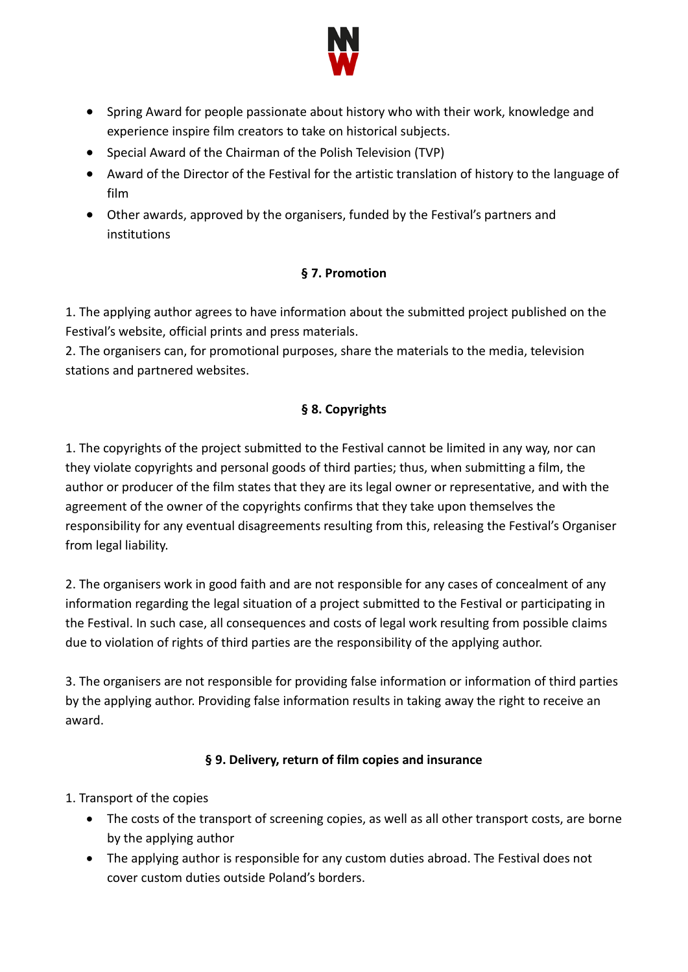

- Spring Award for people passionate about history who with their work, knowledge and experience inspire film creators to take on historical subjects.
- Special Award of the Chairman of the Polish Television (TVP)
- Award of the Director of the Festival for the artistic translation of history to the language of film
- Other awards, approved by the organisers, funded by the Festival's partners and institutions

## **§ 7. Promotion**

1. The applying author agrees to have information about the submitted project published on the Festival's website, official prints and press materials.

2. The organisers can, for promotional purposes, share the materials to the media, television stations and partnered websites.

# **§ 8. Copyrights**

1. The copyrights of the project submitted to the Festival cannot be limited in any way, nor can they violate copyrights and personal goods of third parties; thus, when submitting a film, the author or producer of the film states that they are its legal owner or representative, and with the agreement of the owner of the copyrights confirms that they take upon themselves the responsibility for any eventual disagreements resulting from this, releasing the Festival's Organiser from legal liability.

2. The organisers work in good faith and are not responsible for any cases of concealment of any information regarding the legal situation of a project submitted to the Festival or participating in the Festival. In such case, all consequences and costs of legal work resulting from possible claims due to violation of rights of third parties are the responsibility of the applying author.

3. The organisers are not responsible for providing false information or information of third parties by the applying author. Providing false information results in taking away the right to receive an award.

# **§ 9. Delivery, return of film copies and insurance**

- 1. Transport of the copies
	- The costs of the transport of screening copies, as well as all other transport costs, are borne by the applying author
	- The applying author is responsible for any custom duties abroad. The Festival does not cover custom duties outside Poland's borders.